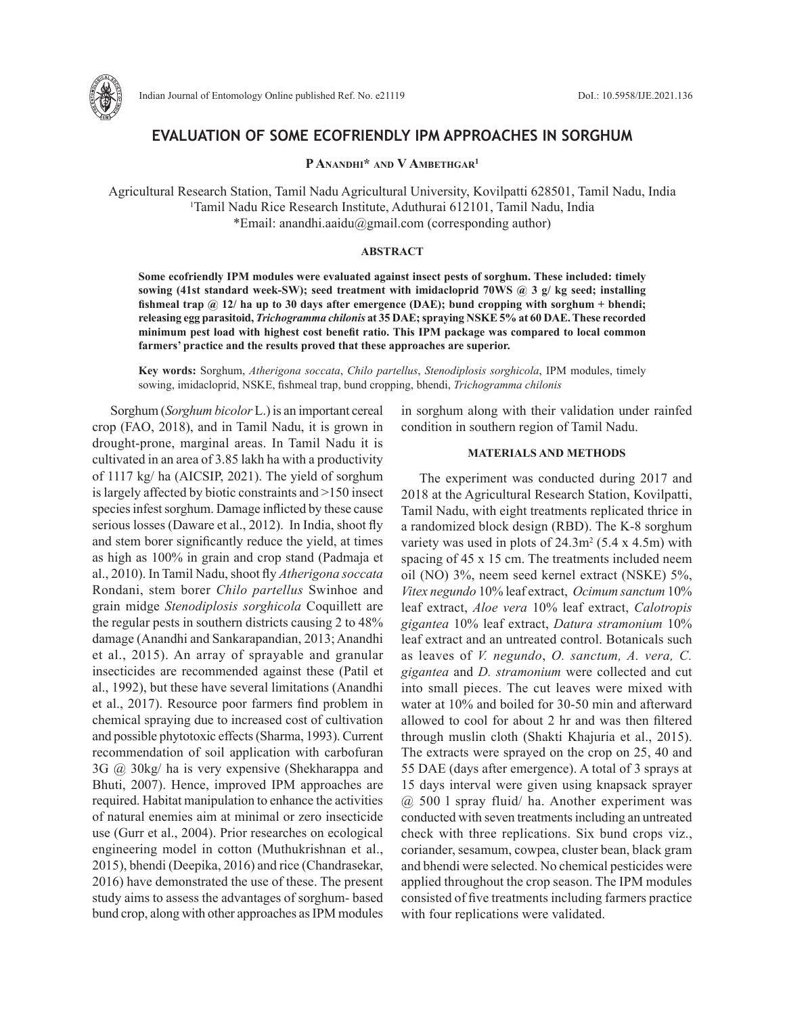

## **EVALUATION OF SOME ECOFRIENDLY IPM APPROACHES IN SORGHUM**

### P ANANDHI<sup>\*</sup> AND V AMBETHGAR<sup>1</sup>

Agricultural Research Station, Tamil Nadu Agricultural University, Kovilpatti 628501, Tamil Nadu, India 1 Tamil Nadu Rice Research Institute, Aduthurai 612101, Tamil Nadu, India \*Email: anandhi.aaidu@gmail.com (corresponding author)

#### **ABSTRACT**

**Some ecofriendly IPM modules were evaluated against insect pests of sorghum. These included: timely sowing (41st standard week-SW); seed treatment with imidacloprid 70WS @ 3 g/ kg seed; installing fishmeal trap @ 12/ ha up to 30 days after emergence (DAE); bund cropping with sorghum + bhendi; releasing egg parasitoid,** *Trichogramma chilonis* **at 35 DAE; spraying NSKE 5% at 60 DAE. These recorded minimum pest load with highest cost benefit ratio. This IPM package was compared to local common farmers' practice and the results proved that these approaches are superior.**

**Key words:** Sorghum, *Atherigona soccata*, *Chilo partellus*, *Stenodiplosis sorghicola*, IPM modules, timely sowing, imidacloprid, NSKE, fishmeal trap, bund cropping, bhendi, *Trichogramma chilonis*

Sorghum (*Sorghum bicolor* L.) is an important cereal crop (FAO, 2018), and in Tamil Nadu, it is grown in drought-prone, marginal areas. In Tamil Nadu it is cultivated in an area of 3.85 lakh ha with a productivity of 1117 kg/ ha (AICSIP, 2021). The yield of sorghum is largely affected by biotic constraints and >150 insect species infest sorghum. Damage inflicted by these cause serious losses (Daware et al., 2012). In India, shoot fly and stem borer significantly reduce the yield, at times as high as 100% in grain and crop stand (Padmaja et al., 2010). In Tamil Nadu, shoot fly *Atherigona soccata* Rondani, stem borer *Chilo partellus* Swinhoe and grain midge *Stenodiplosis sorghicola* Coquillett are the regular pests in southern districts causing 2 to 48% damage (Anandhi and Sankarapandian, 2013; Anandhi et al., 2015). An array of sprayable and granular insecticides are recommended against these (Patil et al., 1992), but these have several limitations (Anandhi et al., 2017). Resource poor farmers find problem in chemical spraying due to increased cost of cultivation and possible phytotoxic effects (Sharma, 1993). Current recommendation of soil application with carbofuran 3G @ 30kg/ ha is very expensive (Shekharappa and Bhuti, 2007). Hence, improved IPM approaches are required. Habitat manipulation to enhance the activities of natural enemies aim at minimal or zero insecticide use (Gurr et al., 2004). Prior researches on ecological engineering model in cotton (Muthukrishnan et al., 2015), bhendi (Deepika, 2016) and rice (Chandrasekar, 2016) have demonstrated the use of these. The present study aims to assess the advantages of sorghum- based bund crop, along with other approaches as IPM modules

in sorghum along with their validation under rainfed condition in southern region of Tamil Nadu.

#### **MATERIALS AND METHODS**

The experiment was conducted during 2017 and 2018 at the Agricultural Research Station, Kovilpatti, Tamil Nadu, with eight treatments replicated thrice in a randomized block design (RBD). The K-8 sorghum variety was used in plots of  $24.3 \text{m}^2$  (5.4 x 4.5m) with spacing of 45 x 15 cm. The treatments included neem oil (NO) 3%, neem seed kernel extract (NSKE) 5%, *Vitex negundo* 10% leaf extract, *Ocimum sanctum* 10% leaf extract, *Aloe vera* 10% leaf extract, *Calotropis gigantea* 10% leaf extract, *Datura stramonium* 10% leaf extract and an untreated control. Botanicals such as leaves of *V. negundo*, *O. sanctum, A. vera, C. gigantea* and *D. stramonium* were collected and cut into small pieces. The cut leaves were mixed with water at 10% and boiled for 30-50 min and afterward allowed to cool for about 2 hr and was then filtered through muslin cloth (Shakti Khajuria et al., 2015). The extracts were sprayed on the crop on 25, 40 and 55 DAE (days after emergence). A total of 3 sprays at 15 days interval were given using knapsack sprayer @ 500 l spray fluid/ ha. Another experiment was conducted with seven treatments including an untreated check with three replications. Six bund crops viz., coriander, sesamum, cowpea, cluster bean, black gram and bhendi were selected. No chemical pesticides were applied throughout the crop season. The IPM modules consisted of five treatments including farmers practice with four replications were validated.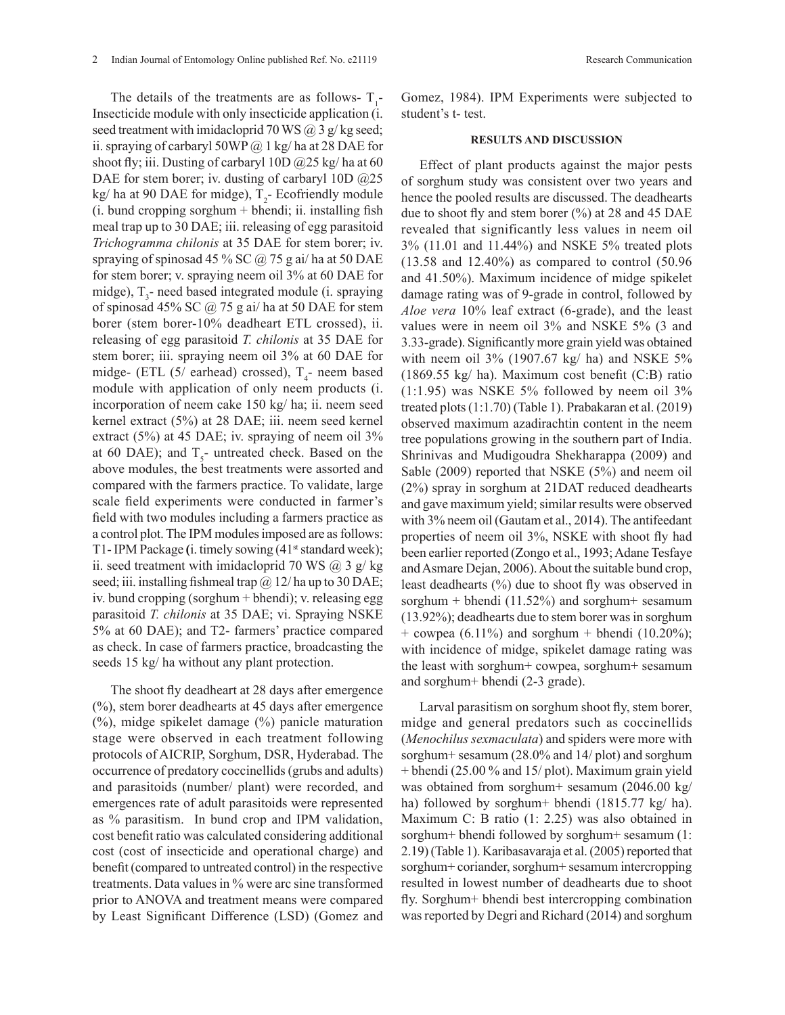The details of the treatments are as follows- $T_1$ -Insecticide module with only insecticide application (i. seed treatment with imidacloprid 70 WS  $\omega$  3 g/kg seed; ii. spraying of carbaryl 50WP  $@$  1 kg/ ha at 28 DAE for shoot fly; iii. Dusting of carbaryl 10D  $\omega/25$  kg/ ha at 60 DAE for stem borer; iv. dusting of carbaryl 10D  $@25$  $kg/ha$  at 90 DAE for midge),  $T_2$ - Ecofriendly module (i. bund cropping sorghum + bhendi; ii. installing fish meal trap up to 30 DAE; iii. releasing of egg parasitoid *Trichogramma chilonis* at 35 DAE for stem borer; iv. spraying of spinosad 45 % SC  $\omega$  75 g ai/ ha at 50 DAE for stem borer; v. spraying neem oil 3% at 60 DAE for midge),  $T_3$ - need based integrated module (i. spraying of spinosad 45% SC  $\omega$  75 g ai/ ha at 50 DAE for stem borer (stem borer-10% deadheart ETL crossed), ii. releasing of egg parasitoid *T. chilonis* at 35 DAE for stem borer; iii. spraying neem oil 3% at 60 DAE for midge- (ETL  $(5/$  earhead) crossed),  $T_4$ - neem based module with application of only neem products (i. incorporation of neem cake 150 kg/ ha; ii. neem seed kernel extract (5%) at 28 DAE; iii. neem seed kernel extract (5%) at 45 DAE; iv. spraying of neem oil 3% at 60 DAE); and  $T_s$ - untreated check. Based on the above modules, the best treatments were assorted and compared with the farmers practice. To validate, large scale field experiments were conducted in farmer's field with two modules including a farmers practice as a control plot. The IPM modules imposed are as follows: T1- IPM Package (i. timely sowing (41<sup>st</sup> standard week); ii. seed treatment with imidacloprid 70 WS  $(a)$  3 g/ kg seed; iii. installing fishmeal trap  $\omega$  12/ ha up to 30 DAE; iv. bund cropping (sorghum + bhendi); v. releasing egg parasitoid *T. chilonis* at 35 DAE; vi. Spraying NSKE 5% at 60 DAE); and T2- farmers' practice compared as check. In case of farmers practice, broadcasting the seeds 15 kg/ ha without any plant protection.

The shoot fly deadheart at 28 days after emergence (%), stem borer deadhearts at 45 days after emergence (%), midge spikelet damage (%) panicle maturation stage were observed in each treatment following protocols of AICRIP, Sorghum, DSR, Hyderabad. The occurrence of predatory coccinellids (grubs and adults) and parasitoids (number/ plant) were recorded, and emergences rate of adult parasitoids were represented as % parasitism. In bund crop and IPM validation, cost benefit ratio was calculated considering additional cost (cost of insecticide and operational charge) and benefit (compared to untreated control) in the respective treatments. Data values in % were arc sine transformed prior to ANOVA and treatment means were compared by Least Significant Difference (LSD) (Gomez and

# **RESULTS AND DISCUSSION**

student's t- test.

Effect of plant products against the major pests of sorghum study was consistent over two years and hence the pooled results are discussed. The deadhearts due to shoot fly and stem borer  $(\% )$  at 28 and 45 DAE revealed that significantly less values in neem oil 3% (11.01 and 11.44%) and NSKE 5% treated plots (13.58 and 12.40%) as compared to control (50.96 and 41.50%). Maximum incidence of midge spikelet damage rating was of 9-grade in control, followed by *Aloe vera* 10% leaf extract (6-grade), and the least values were in neem oil 3% and NSKE 5% (3 and 3.33-grade). Significantly more grain yield was obtained with neem oil 3% (1907.67 kg/ ha) and NSKE 5% (1869.55 kg/ ha). Maximum cost benefit (C:B) ratio  $(1:1.95)$  was NSKE 5% followed by neem oil 3% treated plots (1:1.70) (Table 1). Prabakaran et al. (2019) observed maximum azadirachtin content in the neem tree populations growing in the southern part of India. Shrinivas and Mudigoudra Shekharappa (2009) and Sable (2009) reported that NSKE (5%) and neem oil (2%) spray in sorghum at 21DAT reduced deadhearts and gave maximum yield; similar results were observed with 3% neem oil (Gautam et al., 2014). The antifeedant properties of neem oil 3%, NSKE with shoot fly had been earlier reported (Zongo et al., 1993; Adane Tesfaye and Asmare Dejan, 2006). About the suitable bund crop, least deadhearts (%) due to shoot fly was observed in sorghum + bhendi  $(11.52\%)$  and sorghum + sesamum (13.92%); deadhearts due to stem borer was in sorghum + cowpea (6.11%) and sorghum + bhendi (10.20%); with incidence of midge, spikelet damage rating was the least with sorghum+ cowpea, sorghum+ sesamum and sorghum+ bhendi (2-3 grade).

Larval parasitism on sorghum shoot fly, stem borer, midge and general predators such as coccinellids (*Menochilus sexmaculata*) and spiders were more with sorghum+ sesamum (28.0% and 14/ plot) and sorghum + bhendi (25.00 % and 15/ plot). Maximum grain yield was obtained from sorghum+ sesamum (2046.00 kg/ ha) followed by sorghum+ bhendi (1815.77 kg/ ha). Maximum C: B ratio (1: 2.25) was also obtained in sorghum+ bhendi followed by sorghum+ sesamum (1: 2.19) (Table 1). Karibasavaraja et al. (2005) reported that sorghum+ coriander, sorghum+ sesamum intercropping resulted in lowest number of deadhearts due to shoot fly. Sorghum+ bhendi best intercropping combination was reported by Degri and Richard (2014) and sorghum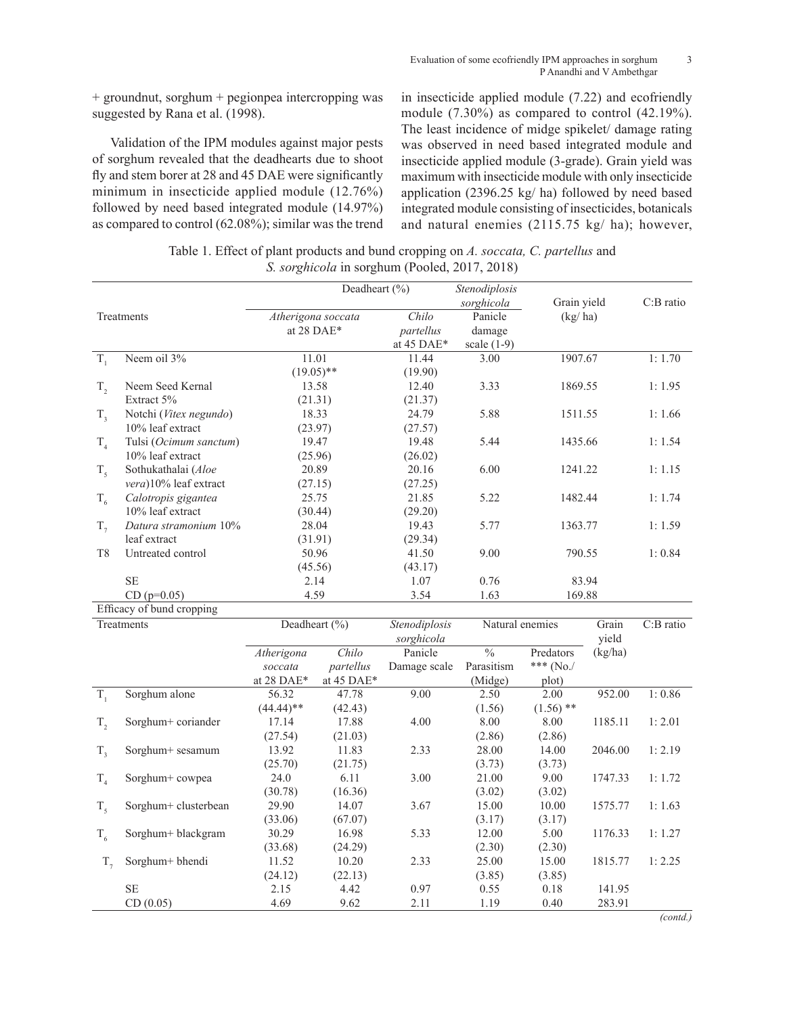+ groundnut, sorghum + pegionpea intercropping was suggested by Rana et al. (1998).

Validation of the IPM modules against major pests of sorghum revealed that the deadhearts due to shoot fly and stem borer at 28 and 45 DAE were significantly minimum in insecticide applied module (12.76%) followed by need based integrated module (14.97%) as compared to control (62.08%); similar was the trend

 $T<sub>6</sub>$  Sorghum+ blackgram 30.29

 $T<sub>7</sub>$  Sorghum+ bhendi 11.52

(33.68)

(24.12)

16.98 (24.29)

10.20 (22.13)

SE 2.15 4.42 0.97 0.55 0.18 141.95 CD (0.05) 4.69 9.62 2.11 1.19 0.40 283.91

5.33 12.00

2.33 25.00

(2.30)

(3.85)

5.00 (2.30)

15.00 (3.85)

in insecticide applied module (7.22) and ecofriendly module (7.30%) as compared to control (42.19%). The least incidence of midge spikelet/ damage rating was observed in need based integrated module and insecticide applied module (3-grade). Grain yield was maximum with insecticide module with only insecticide application (2396.25 kg/ ha) followed by need based integrated module consisting of insecticides, botanicals and natural enemies (2115.75 kg/ ha); however,

| Table 1. Effect of plant products and bund cropping on A. soccata, C. partellus and |
|-------------------------------------------------------------------------------------|
| <i>S. sorghicola</i> in sorghum (Pooled, 2017, 2018)                                |

|                |                           | Deadheart (%)                  |            |                  | Stenodiplosis            |             |         |           |
|----------------|---------------------------|--------------------------------|------------|------------------|--------------------------|-------------|---------|-----------|
|                |                           |                                |            |                  | sorghicola               | Grain yield |         | C:B ratio |
| Treatments     |                           | Atherigona soccata             |            | Chilo            | Panicle                  | (kg/ha)     |         |           |
|                |                           | at 28 DAE*                     |            | partellus        | damage                   |             |         |           |
|                |                           |                                |            | at 45 DAE*       | scale $(1-9)$            |             |         |           |
| $T_{1}$        | Neem oil 3%               | 11.01                          |            | 11.44            | 3.00                     | 1907.67     |         | 1:1.70    |
|                |                           | $(19.05)$ **                   |            | (19.90)          |                          |             |         |           |
| $T_{2}$        | Neem Seed Kernal          |                                | 13.58      | 12.40            | 3.33                     | 1869.55     |         | 1:1.95    |
|                | Extract 5%                | (21.31)                        |            | (21.37)          |                          |             |         |           |
| $T_{3}$        | Notchi (Vitex negundo)    |                                | 18.33      | 24.79            | 5.88                     | 1511.55     |         | 1:1.66    |
|                | 10% leaf extract          | (23.97)                        |            | (27.57)          |                          |             |         |           |
| T <sub>4</sub> | Tulsi (Ocimum sanctum)    |                                | 19.47      | 19.48            | 5.44                     | 1435.66     |         | 1:1.54    |
|                | 10% leaf extract          |                                | (25.96)    | (26.02)          |                          |             |         |           |
| $T_5$          | Sothukathalai (Aloe       |                                | 20.89      | 20.16            | 6.00                     | 1241.22     |         | 1:1.15    |
|                | vera)10% leaf extract     |                                | (27.15)    | (27.25)          |                          |             |         |           |
| $T_{6}$        | Calotropis gigantea       |                                | 25.75      | 21.85            | 5.22                     | 1482.44     |         | 1:1.74    |
|                | 10% leaf extract          |                                | (30.44)    | (29.20)          |                          |             |         |           |
| $T_{7}$        | Datura stramonium 10%     |                                | 28.04      | 19.43            | 5.77                     | 1363.77     |         | 1:1.59    |
|                | leaf extract              |                                | (31.91)    |                  |                          |             |         |           |
| T <sub>8</sub> | Untreated control         | 50.96                          |            | (29.34)<br>41.50 | 9.00                     | 790.55      |         | 1:0.84    |
|                |                           |                                | (45.56)    | (43.17)          |                          |             |         |           |
|                | SE                        | 2.14                           |            | 1.07             | 0.76                     | 83.94       |         |           |
|                | $CD (p=0.05)$             | 4.59<br>3.54<br>1.63<br>169.88 |            |                  |                          |             |         |           |
|                | Efficacy of bund cropping |                                |            |                  |                          |             |         |           |
|                | Treatments                | Deadheart $(\% )$              |            | Stenodiplosis    | Natural enemies          |             | Grain   | C:B ratio |
|                |                           |                                |            | sorghicola       |                          |             | yield   |           |
|                |                           | Atherigona                     | Chilo      | Panicle          | $\overline{\frac{0}{0}}$ | Predators   | (kg/ha) |           |
|                |                           | soccata                        | partellus  | Damage scale     | Parasitism               | *** (No./   |         |           |
|                |                           | at 28 DAE*                     | at 45 DAE* |                  | (Midge)                  | plot)       |         |           |
| $T_{1}$        | Sorghum alone             | 56.32                          | 47.78      | 9.00             | 2.50                     | 2.00        | 952.00  | 1:0.86    |
|                |                           | $(44.44)$ **                   | (42.43)    |                  | (1.56)                   | $(1.56)$ ** |         |           |
| $T_{2}$        | Sorghum+ coriander        | 17.14                          | 17.88      | 4.00             | 8.00                     | 8.00        | 1185.11 | 1:2.01    |
|                |                           | (27.54)                        | (21.03)    |                  | (2.86)                   | (2.86)      |         |           |
| $T_{3}$        | Sorghum+ sesamum          | 13.92                          | 11.83      | 2.33             | 28.00                    | 14.00       | 2046.00 | 1:2.19    |
|                |                           | (25.70)                        | (21.75)    |                  | (3.73)                   | (3.73)      |         |           |
| $T_{4}$        | Sorghum+ cowpea           | 24.0                           | 6.11       | 3.00             | 21.00                    | 9.00        | 1747.33 | 1:1.72    |
|                |                           | (30.78)                        | (16.36)    |                  | (3.02)                   | (3.02)      |         |           |
| $T_{5}$        | Sorghum+ clusterbean      | 29.90                          | 14.07      | 3.67             | 15.00                    | 10.00       | 1575.77 | 1:1.63    |
|                |                           | (33.06)                        | (67.07)    |                  | (3.17)                   | (3.17)      |         |           |

*(contd.)*

1176.33 1: 1.27

1815.77 1: 2.25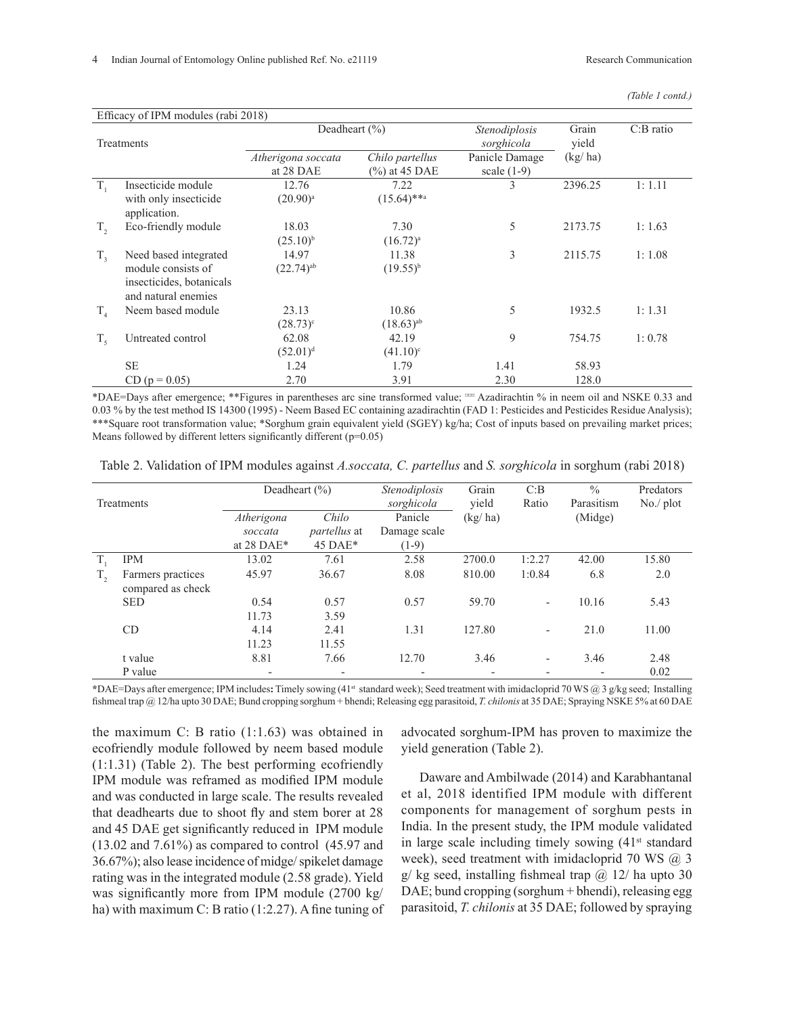| (Table 1 contd.) |  |
|------------------|--|
|------------------|--|

|             |                                                 | Deadheart $(\% )$                     |                         | Stenodiplosis  | Grain   | $C:B$ ratio |  |
|-------------|-------------------------------------------------|---------------------------------------|-------------------------|----------------|---------|-------------|--|
| Treatments  |                                                 |                                       |                         | sorghicola     | yield   |             |  |
|             |                                                 | Chilo partellus<br>Atherigona soccata |                         | Panicle Damage | (kg/ha) |             |  |
|             |                                                 | at 28 DAE                             | $\frac{6}{6}$ at 45 DAE | scale $(1-9)$  |         |             |  |
| $T_{1}$     | Insecticide module                              | 12.76                                 | 7.22                    | 3              | 2396.25 | 1:1.11      |  |
|             | with only insecticide<br>application.           | $(20.90)^{a}$                         | $(15.64)$ **a           |                |         |             |  |
| $T_{2}$     | Eco-friendly module                             | 18.03                                 | 7.30                    | 5              | 2173.75 | 1:1.63      |  |
|             |                                                 | $(25.10)^{b}$                         | $(16.72)^{a}$           |                |         |             |  |
| $T_{3}$     | Need based integrated                           | 14.97                                 | 11.38                   | 3              | 2115.75 | 1:1.08      |  |
|             | module consists of                              | $(22.74)^{ab}$                        | $(19.55)^{b}$           |                |         |             |  |
|             | insecticides, botanicals<br>and natural enemies |                                       |                         |                |         |             |  |
| $T_{4}$     | Neem based module                               | 23.13                                 | 10.86                   | 5              | 1932.5  | 1:1.31      |  |
|             |                                                 | $(28.73)^{\circ}$                     | $(18.63)^{ab}$          |                |         |             |  |
| $T_{\zeta}$ | Untreated control                               | 62.08                                 | 42.19                   | 9              | 754.75  | 1:0.78      |  |
|             |                                                 | $(52.01)^d$                           | $(41.10)^c$             |                |         |             |  |
|             | <b>SE</b>                                       | 1.24                                  | 1.79                    | 1.41           | 58.93   |             |  |
|             | $CD (p = 0.05)$                                 | 2.70                                  | 3.91                    | 2.30           | 128.0   |             |  |

\*DAE=Days after emergence; \*\*Figures in parentheses arc sine transformed value; ¤¤¤ Azadirachtin % in neem oil and NSKE 0.33 and 0.03 % by the test method IS 14300 (1995) - Neem Based EC containing azadirachtin (FAD 1: Pesticides and Pesticides Residue Analysis); \*\*\*Square root transformation value; \*Sorghum grain equivalent yield (SGEY) kg/ha; Cost of inputs based on prevailing market prices; Means followed by different letters significantly different (p=0.05)

| Table 2. Validation of IPM modules against A.soccata, C. partellus and S. sorghicola in sorghum (rabi 2018) |  |  |
|-------------------------------------------------------------------------------------------------------------|--|--|
|                                                                                                             |  |  |

| Treatments   |                                        |                          | Deadheart $(\% )$        | Stenodiplosis<br>sorghicola | Grain<br>yield | C:B<br>Ratio             | $\frac{0}{0}$<br>Parasitism | Predators<br>$No$ / $plot$ |
|--------------|----------------------------------------|--------------------------|--------------------------|-----------------------------|----------------|--------------------------|-----------------------------|----------------------------|
|              |                                        | Atherigona               | Chilo                    | Panicle                     | (kg/ha)        |                          | (Midge)                     |                            |
|              |                                        | soccata                  | <i>partellus</i> at      | Damage scale                |                |                          |                             |                            |
|              |                                        | at 28 DAE*               | $45\,\text{DAE}^*$       | $(1-9)$                     |                |                          |                             |                            |
|              | <b>IPM</b>                             | 13.02                    | 7.61                     | 2.58                        | 2700.0         | 1:2.27                   | 42.00                       | 15.80                      |
| $T_{\rm{2}}$ | Farmers practices<br>compared as check | 45.97                    | 36.67                    | 8.08                        | 810.00         | 1:0.84                   | 6.8                         | 2.0                        |
|              | <b>SED</b>                             | 0.54<br>11.73            | 0.57<br>3.59             | 0.57                        | 59.70          | $\overline{\phantom{a}}$ | 10.16                       | 5.43                       |
|              | CD                                     | 4.14<br>11.23            | 2.41<br>11.55            | 1.31                        | 127.80         | $\overline{\phantom{0}}$ | 21.0                        | 11.00                      |
|              | t value                                | 8.81                     | 7.66                     | 12.70                       | 3.46           | $\overline{\phantom{0}}$ | 3.46                        | 2.48                       |
|              | P value                                | $\overline{\phantom{0}}$ | $\overline{\phantom{a}}$ | $\overline{\phantom{0}}$    |                |                          |                             | 0.02                       |

**\***DAE=Days after emergence; IPM includes**:** Timely sowing (41st standard week); Seed treatment with imidacloprid 70 WS @ 3 g/kg seed; Installing fishmeal trap @ 12/ha upto 30 DAE; Bund cropping sorghum + bhendi; Releasing egg parasitoid, *T. chilonis* at 35 DAE; Spraying NSKE 5% at 60 DAE

the maximum C: B ratio (1:1.63) was obtained in ecofriendly module followed by neem based module (1:1.31) (Table 2). The best performing ecofriendly IPM module was reframed as modified IPM module and was conducted in large scale. The results revealed that deadhearts due to shoot fly and stem borer at 28 and 45 DAE get significantly reduced in IPM module (13.02 and 7.61%) as compared to control (45.97 and 36.67%); also lease incidence of midge/ spikelet damage rating was in the integrated module (2.58 grade). Yield was significantly more from IPM module (2700 kg/ ha) with maximum C: B ratio (1:2.27). A fine tuning of advocated sorghum-IPM has proven to maximize the yield generation (Table 2).

Daware and Ambilwade (2014) and Karabhantanal et al, 2018 identified IPM module with different components for management of sorghum pests in India. In the present study, the IPM module validated in large scale including timely sowing  $(41<sup>st</sup> standard)$ week), seed treatment with imidacloprid 70 WS  $(a)$  3  $g$ / kg seed, installing fishmeal trap  $\omega$  12/ ha upto 30 DAE; bund cropping (sorghum + bhendi), releasing egg parasitoid, *T. chilonis* at 35 DAE; followed by spraying